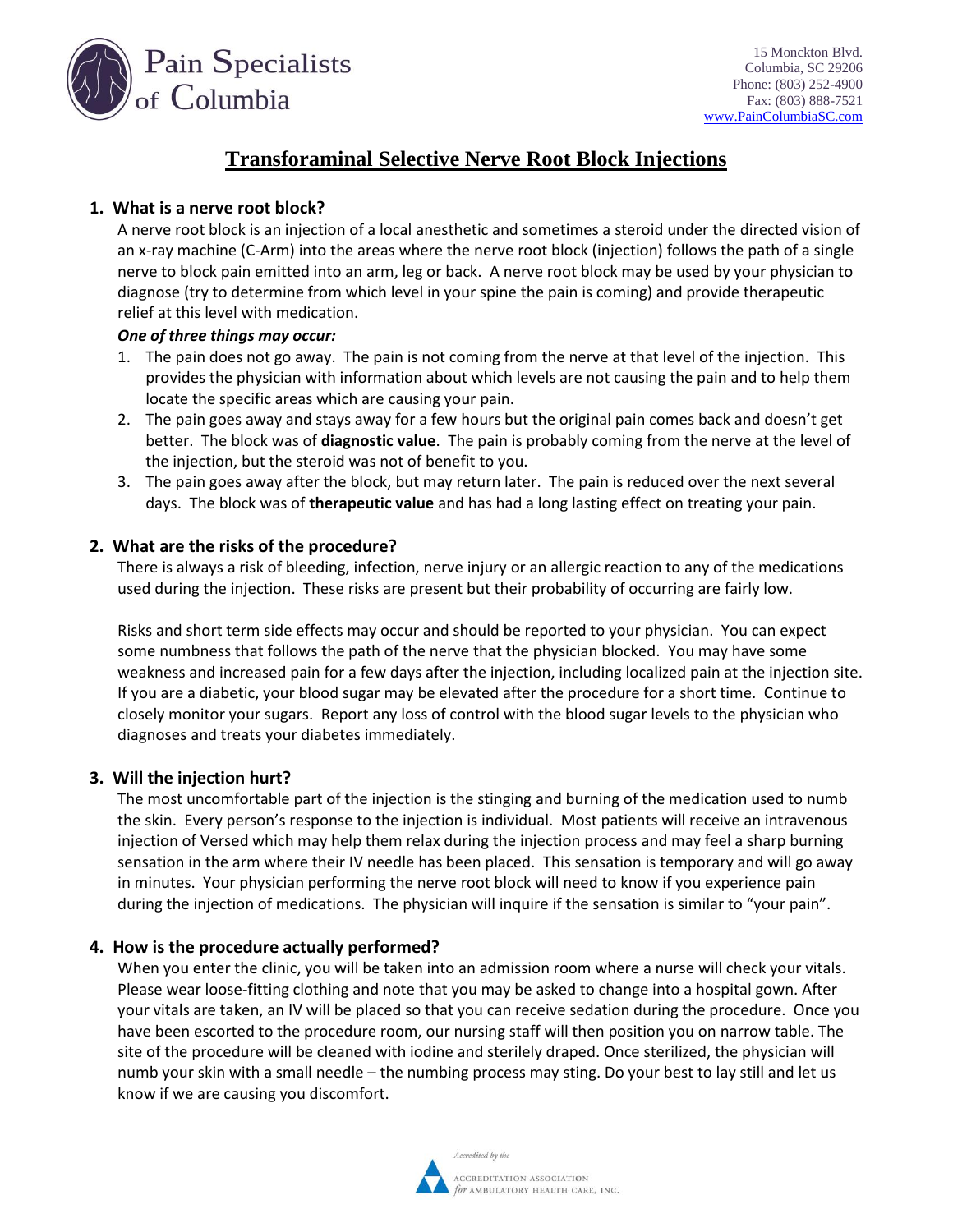

# **Transforaminal Selective Nerve Root Block Injections**

## **1. What is a nerve root block?**

A nerve root block is an injection of a local anesthetic and sometimes a steroid under the directed vision of an x-ray machine (C-Arm) into the areas where the nerve root block (injection) follows the path of a single nerve to block pain emitted into an arm, leg or back. A nerve root block may be used by your physician to diagnose (try to determine from which level in your spine the pain is coming) and provide therapeutic relief at this level with medication.

#### *One of three things may occur:*

- 1. The pain does not go away. The pain is not coming from the nerve at that level of the injection. This provides the physician with information about which levels are not causing the pain and to help them locate the specific areas which are causing your pain.
- 2. The pain goes away and stays away for a few hours but the original pain comes back and doesn't get better. The block was of **diagnostic value**. The pain is probably coming from the nerve at the level of the injection, but the steroid was not of benefit to you.
- 3. The pain goes away after the block, but may return later. The pain is reduced over the next several days. The block was of **therapeutic value** and has had a long lasting effect on treating your pain.

## **2. What are the risks of the procedure?**

There is always a risk of bleeding, infection, nerve injury or an allergic reaction to any of the medications used during the injection. These risks are present but their probability of occurring are fairly low.

Risks and short term side effects may occur and should be reported to your physician. You can expect some numbness that follows the path of the nerve that the physician blocked. You may have some weakness and increased pain for a few days after the injection, including localized pain at the injection site. If you are a diabetic, your blood sugar may be elevated after the procedure for a short time. Continue to closely monitor your sugars. Report any loss of control with the blood sugar levels to the physician who diagnoses and treats your diabetes immediately.

## **3. Will the injection hurt?**

The most uncomfortable part of the injection is the stinging and burning of the medication used to numb the skin. Every person's response to the injection is individual. Most patients will receive an intravenous injection of Versed which may help them relax during the injection process and may feel a sharp burning sensation in the arm where their IV needle has been placed. This sensation is temporary and will go away in minutes. Your physician performing the nerve root block will need to know if you experience pain during the injection of medications. The physician will inquire if the sensation is similar to "your pain".

## **4. How is the procedure actually performed?**

When you enter the clinic, you will be taken into an admission room where a nurse will check your vitals. Please wear loose-fitting clothing and note that you may be asked to change into a hospital gown. After your vitals are taken, an IV will be placed so that you can receive sedation during the procedure. Once you have been escorted to the procedure room, our nursing staff will then position you on narrow table. The site of the procedure will be cleaned with iodine and sterilely draped. Once sterilized, the physician will numb your skin with a small needle – the numbing process may sting. Do your best to lay still and let us know if we are causing you discomfort.